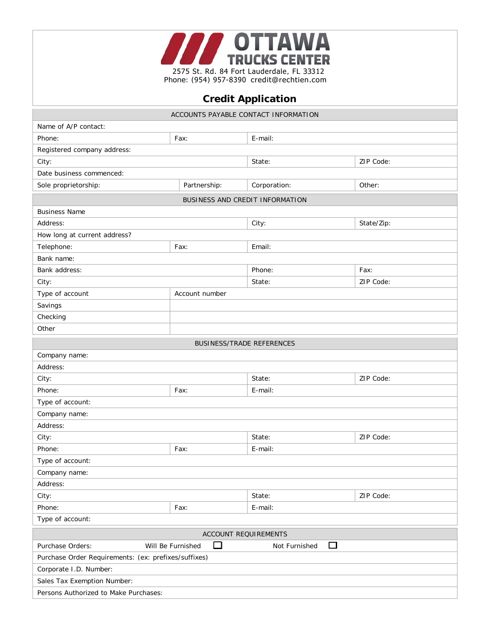

Phone: (954) 957-8390 credit@rechtien.com

## **Credit Application**

| ACCOUNTS PAYABLE CONTACT INFORMATION                 |                        |                    |            |  |
|------------------------------------------------------|------------------------|--------------------|------------|--|
| Name of A/P contact:                                 |                        |                    |            |  |
| Phone:                                               | Fax:                   | E-mail:            |            |  |
| Registered company address:                          |                        |                    |            |  |
| City:                                                |                        | State:             | ZIP Code:  |  |
| Date business commenced:                             |                        |                    |            |  |
| Sole proprietorship:                                 | Partnership:           | Corporation:       | Other:     |  |
| BUSINESS AND CREDIT INFORMATION                      |                        |                    |            |  |
| <b>Business Name</b>                                 |                        |                    |            |  |
| Address:                                             |                        | City:              | State/Zip: |  |
| How long at current address?                         |                        |                    |            |  |
| Telephone:                                           | Fax:                   | Email:             |            |  |
| Bank name:                                           |                        |                    |            |  |
| Bank address:                                        |                        | Phone:             | Fax:       |  |
| City:                                                |                        | State:             | ZIP Code:  |  |
| Type of account                                      | Account number         |                    |            |  |
| Savings                                              |                        |                    |            |  |
| Checking                                             |                        |                    |            |  |
| Other                                                |                        |                    |            |  |
| <b>BUSINESS/TRADE REFERENCES</b>                     |                        |                    |            |  |
| Company name:                                        |                        |                    |            |  |
| Address:                                             |                        |                    |            |  |
| City:                                                |                        | State:             | ZIP Code:  |  |
| Phone:                                               | Fax:                   | E-mail:            |            |  |
| Type of account:                                     |                        |                    |            |  |
| Company name:                                        |                        |                    |            |  |
| Address:                                             |                        |                    |            |  |
| City:                                                |                        | State:             | ZIP Code:  |  |
| Phone:                                               | Fax:                   | E-mail:            |            |  |
| Type of account:                                     |                        |                    |            |  |
| Company name:                                        |                        |                    |            |  |
| Address:                                             |                        |                    |            |  |
| City:                                                |                        | State:             | ZIP Code:  |  |
| Phone:                                               | Fax:                   | E-mail:            |            |  |
| Type of account:                                     |                        |                    |            |  |
| <b>ACCOUNT REQUIREMENTS</b>                          |                        |                    |            |  |
| Purchase Orders:                                     | □<br>Will Be Furnished | □<br>Not Furnished |            |  |
| Purchase Order Requirements: (ex: prefixes/suffixes) |                        |                    |            |  |
| Corporate I.D. Number:                               |                        |                    |            |  |
| Sales Tax Exemption Number:                          |                        |                    |            |  |
| Persons Authorized to Make Purchases:                |                        |                    |            |  |